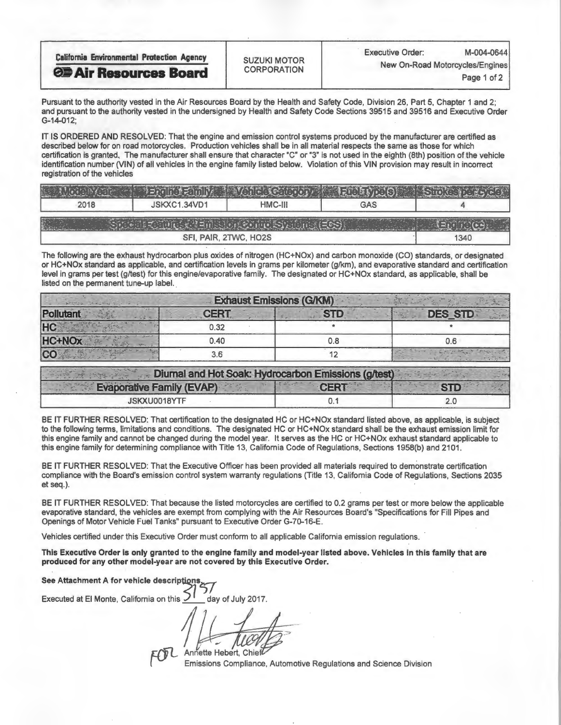| <b>California Environmental Protection Agency</b> | <b>SUZUKI MOTOR</b> | <b>Executive Order:</b>         | M-004-0644  |  |
|---------------------------------------------------|---------------------|---------------------------------|-------------|--|
| <b>OF Air Resources Board</b>                     | <b>CORPORATION</b>  | New On-Road Motorcycles/Engines |             |  |
|                                                   |                     |                                 | Page 1 of 2 |  |

Pursuant to the authority vested in the Air Resources Board by the Health and Safety Code, Division 26, Part 5, Chapter 1 and 2; and pursuant to the authority vested in the undersigned by Health and Safety Code Sections 39515 and 39516 and Executive Order G-14-012;

IT IS ORDERED AND RESOLVED: That the engine and emission control systems produced by the manufacturer are certified as described below for on road motorcycles. Production vehicles shall be in all material respects the same as those for which certification is granted. The manufacturer shall ensure that character "C" or "3" is not used in the eighth (8th) position of the vehicle identification number (VIN) of all vehicles in the engine family listed below. Violation of this VIN provision may result in incorrect registration of the vehicles

| 2018 | JSKXC1.34VD1          | HMC-III | <b>GAS</b> |      |
|------|-----------------------|---------|------------|------|
|      |                       |         |            |      |
|      | SFI, PAIR, 2TWC, HO2S |         |            | 1340 |

The following are the exhaust hydrocarbon plus oxides of nitrogen (HC+NOx) and carbon monoxide (CO) standards, or designated or HC+NOx standard as applicable, and certification levels in grams per kilometer (g/km), and evaporative standard and certification level in grams per test (g/test) for this engine/evaporative family. The designated or HC+NOx standard, as applicable, shall be listed on the permanent tune-up label.

| <b>Exhaust Emissions (G/KM)</b> |             |  |                |  |  |
|---------------------------------|-------------|--|----------------|--|--|
| Pollutant                       | <b>CERT</b> |  | <b>DES STD</b> |  |  |
| <b>HC</b>                       | 0.32        |  |                |  |  |
| <b>HC+NOx</b>                   | 0.40        |  |                |  |  |
|                                 |             |  |                |  |  |

| Diumal and Hot Soak: Hydrocarbon Emissions (g/test) |       |  |
|-----------------------------------------------------|-------|--|
| <b>Evaporative Family (EVAP)</b>                    | TCERT |  |
| JSKXU0018YTF                                        |       |  |

BE IT FURTHER RESOLVED: That certification to the designated HC or HC+NOx standard listed above, as applicable, is subject to the following terms, limitations and conditions. The designated HC or HC+NOx standard shall be the exhaust emission limit for this engine family and cannot be changed during the model year. It serves as the HC or HC+NOx exhaust standard applicable to this engine family for determining compliance with Title 13, California Code of Regulations, Sections 1958(b) and 2101.

BE IT FURTHER RESOLVED: That the Executive Officer has been provided all materials required to demonstrate certification compliance with the Board's emission control system warranty regulations (Title 13, California Code of Regulations, Sections 2035 et seq.).

BE IT FURTHER RESOLVED: That because the listed motorcycles are certified to 0.2 grams per test or more below the applicable evaporative standard, the vehicles are exempt from complying with the Air Resources Board's "Specifications for Fill Pipes and Openings of Motor Vehicle Fuel Tanks" pursuant to Executive Order G-70-16-E.

Vehicles certified under this Executive Order must conform to all applicable California emission regulations.

This Executive Order is only granted to the engine family and model-year listed above. Vehicles in this family that are produced for any other model-year are not covered by this Executive Order.

See Attachment A for vehicle descriptions

Executed at El Monte, California on this  $1/12$  day of July 2017.

Annette Hebert, Chief

Emissions Compliance, Automotive Regulations and Science Division